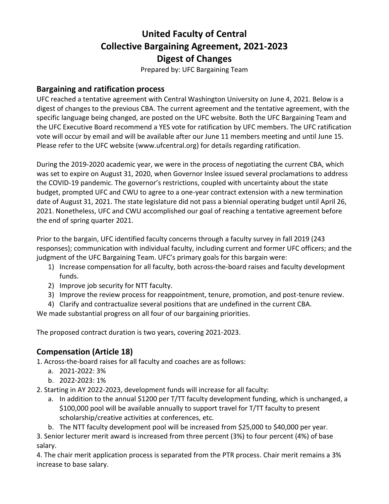# **United Faculty of Central Collective Bargaining Agreement, 2021-2023 Digest of Changes**

Prepared by: UFC Bargaining Team

#### **Bargaining and ratification process**

UFC reached a tentative agreement with Central Washington University on June 4, 2021. Below is a digest of changes to the previous CBA. The current agreement and the tentative agreement, with the specific language being changed, are posted on the UFC website. Both the UFC Bargaining Team and the UFC Executive Board recommend a YES vote for ratification by UFC members. The UFC ratification vote will occur by email and will be available after our June 11 members meeting and until June 15. Please refer to the UFC website (www.ufcentral.org) for details regarding ratification.

During the 2019-2020 academic year, we were in the process of negotiating the current CBA, which was set to expire on August 31, 2020, when Governor Inslee issued several proclamations to address the COVID-19 pandemic. The governor's restrictions, coupled with uncertainty about the state budget, prompted UFC and CWU to agree to a one-year contract extension with a new termination date of August 31, 2021. The state legislature did not pass a biennial operating budget until April 26, 2021. Nonetheless, UFC and CWU accomplished our goal of reaching a tentative agreement before the end of spring quarter 2021.

Prior to the bargain, UFC identified faculty concerns through a faculty survey in fall 2019 (243 responses); communication with individual faculty, including current and former UFC officers; and the judgment of the UFC Bargaining Team. UFC's primary goals for this bargain were:

- 1) Increase compensation for all faculty, both across-the-board raises and faculty development funds.
- 2) Improve job security for NTT faculty.
- 3) Improve the review process for reappointment, tenure, promotion, and post-tenure review.
- 4) Clarify and contractualize several positions that are undefined in the current CBA.

We made substantial progress on all four of our bargaining priorities.

The proposed contract duration is two years, covering 2021-2023.

## **Compensation (Article 18)**

1. Across-the-board raises for all faculty and coaches are as follows:

- a. 2021-2022: 3%
- b. 2022-2023: 1%
- 2. Starting in AY 2022-2023, development funds will increase for all faculty:
	- a. In addition to the annual \$1200 per T/TT faculty development funding, which is unchanged, a \$100,000 pool will be available annually to support travel for T/TT faculty to present scholarship/creative activities at conferences, etc.
	- b. The NTT faculty development pool will be increased from \$25,000 to \$40,000 per year.

3. Senior lecturer merit award is increased from three percent (3%) to four percent (4%) of base salary.

4. The chair merit application process is separated from the PTR process. Chair merit remains a 3% increase to base salary.